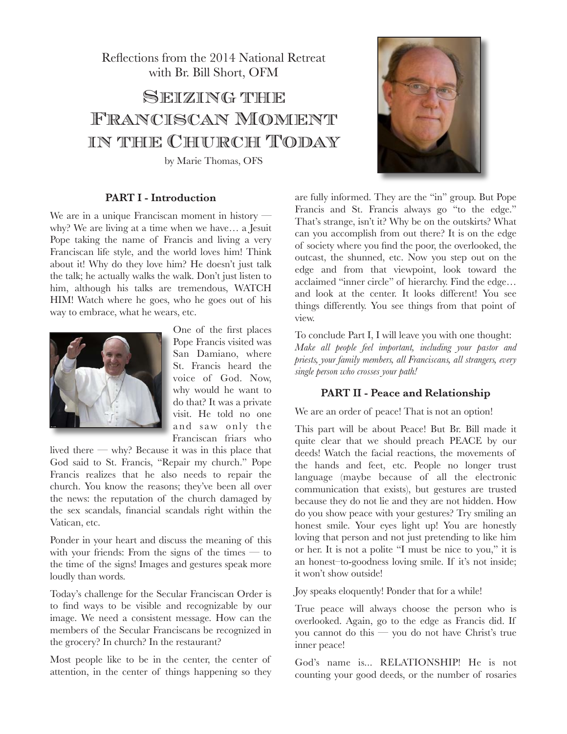Reflections from the 2014 National Retreat with Br. Bill Short, OFM

# Seizing the Franciscan Moment in the Church Today

by Marie Thomas, OFS

#### **PART I - Introduction**

We are in a unique Franciscan moment in history why? We are living at a time when we have… a Jesuit Pope taking the name of Francis and living a very Franciscan life style, and the world loves him! Think about it! Why do they love him? He doesn't just talk the talk; he actually walks the walk. Don't just listen to him, although his talks are tremendous, WATCH HIM! Watch where he goes, who he goes out of his way to embrace, what he wears, etc.



One of the first places Pope Francis visited was San Damiano, where St. Francis heard the voice of God. Now, why would he want to do that? It was a private visit. He told no one and saw only the Franciscan friars who

lived there — why? Because it was in this place that God said to St. Francis, "Repair my church." Pope Francis realizes that he also needs to repair the church. You know the reasons; they've been all over the news: the reputation of the church damaged by the sex scandals, financial scandals right within the Vatican, etc.

Ponder in your heart and discuss the meaning of this with your friends: From the signs of the times  $-$  to the time of the signs! Images and gestures speak more loudly than words.

Today's challenge for the Secular Franciscan Order is to find ways to be visible and recognizable by our image. We need a consistent message. How can the members of the Secular Franciscans be recognized in the grocery? In church? In the restaurant?

Most people like to be in the center, the center of attention, in the center of things happening so they



are fully informed. They are the "in" group. But Pope Francis and St. Francis always go "to the edge." That's strange, isn't it? Why be on the outskirts? What can you accomplish from out there? It is on the edge of society where you find the poor, the overlooked, the outcast, the shunned, etc. Now you step out on the edge and from that viewpoint, look toward the acclaimed "inner circle" of hierarchy. Find the edge… and look at the center. It looks different! You see things differently. You see things from that point of view.

To conclude Part I, I will leave you with one thought: *Make all people feel important, including your pastor and priests, your family members, all Franciscans, all strangers, every single person who crosses your path!* 

### **PART II - Peace and Relationship**

We are an order of peace! That is not an option!

This part will be about Peace! But Br. Bill made it quite clear that we should preach PEACE by our deeds! Watch the facial reactions, the movements of the hands and feet, etc. People no longer trust language (maybe because of all the electronic communication that exists), but gestures are trusted because they do not lie and they are not hidden. How do you show peace with your gestures? Try smiling an honest smile. Your eyes light up! You are honestly loving that person and not just pretending to like him or her. It is not a polite "I must be nice to you," it is an honest–to-goodness loving smile. If it's not inside; it won't show outside!

Joy speaks eloquently! Ponder that for a while!

True peace will always choose the person who is overlooked. Again, go to the edge as Francis did. If you cannot do this — you do not have Christ's true inner peace!

God's name is... RELATIONSHIP! He is not counting your good deeds, or the number of rosaries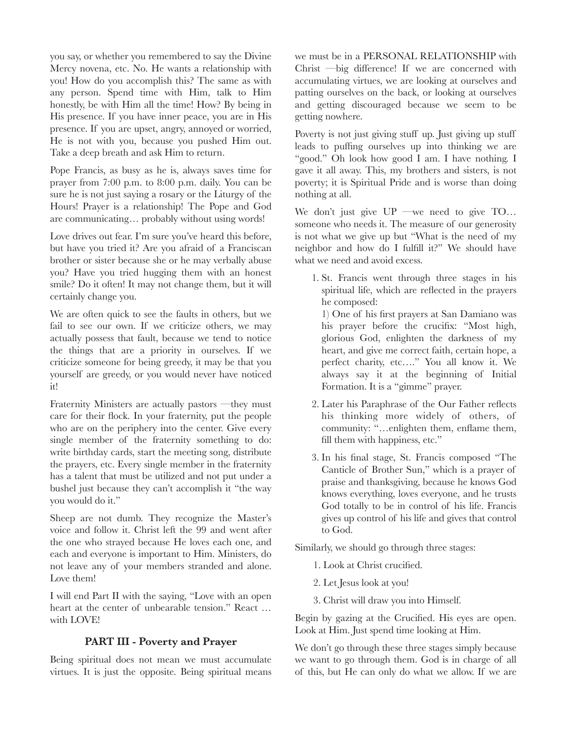you say, or whether you remembered to say the Divine Mercy novena, etc. No. He wants a relationship with you! How do you accomplish this? The same as with any person. Spend time with Him, talk to Him honestly, be with Him all the time! How? By being in His presence. If you have inner peace, you are in His presence. If you are upset, angry, annoyed or worried, He is not with you, because you pushed Him out. Take a deep breath and ask Him to return.

Pope Francis, as busy as he is, always saves time for prayer from 7:00 p.m. to 8:00 p.m. daily. You can be sure he is not just saying a rosary or the Liturgy of the Hours! Prayer is a relationship! The Pope and God are communicating… probably without using words!

Love drives out fear. I'm sure you've heard this before, but have you tried it? Are you afraid of a Franciscan brother or sister because she or he may verbally abuse you? Have you tried hugging them with an honest smile? Do it often! It may not change them, but it will certainly change you.

We are often quick to see the faults in others, but we fail to see our own. If we criticize others, we may actually possess that fault, because we tend to notice the things that are a priority in ourselves. If we criticize someone for being greedy, it may be that you yourself are greedy, or you would never have noticed it!

Fraternity Ministers are actually pastors —they must care for their flock. In your fraternity, put the people who are on the periphery into the center. Give every single member of the fraternity something to do: write birthday cards, start the meeting song, distribute the prayers, etc. Every single member in the fraternity has a talent that must be utilized and not put under a bushel just because they can't accomplish it "the way you would do it."

Sheep are not dumb. They recognize the Master's voice and follow it. Christ left the 99 and went after the one who strayed because He loves each one, and each and everyone is important to Him. Ministers, do not leave any of your members stranded and alone. Love them!

I will end Part II with the saying, "Love with an open heart at the center of unbearable tension." React … with LOVE!

## **PART III - Poverty and Prayer**

Being spiritual does not mean we must accumulate virtues. It is just the opposite. Being spiritual means we must be in a PERSONAL RELATIONSHIP with Christ —big difference! If we are concerned with accumulating virtues, we are looking at ourselves and patting ourselves on the back, or looking at ourselves and getting discouraged because we seem to be getting nowhere.

Poverty is not just giving stuff up. Just giving up stuff leads to puffing ourselves up into thinking we are "good." Oh look how good I am. I have nothing. I gave it all away. This, my brothers and sisters, is not poverty; it is Spiritual Pride and is worse than doing nothing at all.

We don't just give  $UP$  —we need to give  $TO...$ someone who needs it. The measure of our generosity is not what we give up but "What is the need of my neighbor and how do I fulfill it?" We should have what we need and avoid excess.

1. St. Francis went through three stages in his spiritual life, which are reflected in the prayers he composed:

1) One of his first prayers at San Damiano was his prayer before the crucifix: "Most high, glorious God, enlighten the darkness of my heart, and give me correct faith, certain hope, a perfect charity, etc…." You all know it. We always say it at the beginning of Initial Formation. It is a "gimme" prayer.

- 2. Later his Paraphrase of the Our Father reflects his thinking more widely of others, of community: "…enlighten them, enflame them, fill them with happiness, etc."
- 3. In his final stage, St. Francis composed "The Canticle of Brother Sun," which is a prayer of praise and thanksgiving, because he knows God knows everything, loves everyone, and he trusts God totally to be in control of his life. Francis gives up control of his life and gives that control to God.

Similarly, we should go through three stages:

- 1. Look at Christ crucified.
- 2. Let Jesus look at you!
- 3. Christ will draw you into Himself.

Begin by gazing at the Crucified. His eyes are open. Look at Him. Just spend time looking at Him.

We don't go through these three stages simply because we want to go through them. God is in charge of all of this, but He can only do what we allow. If we are